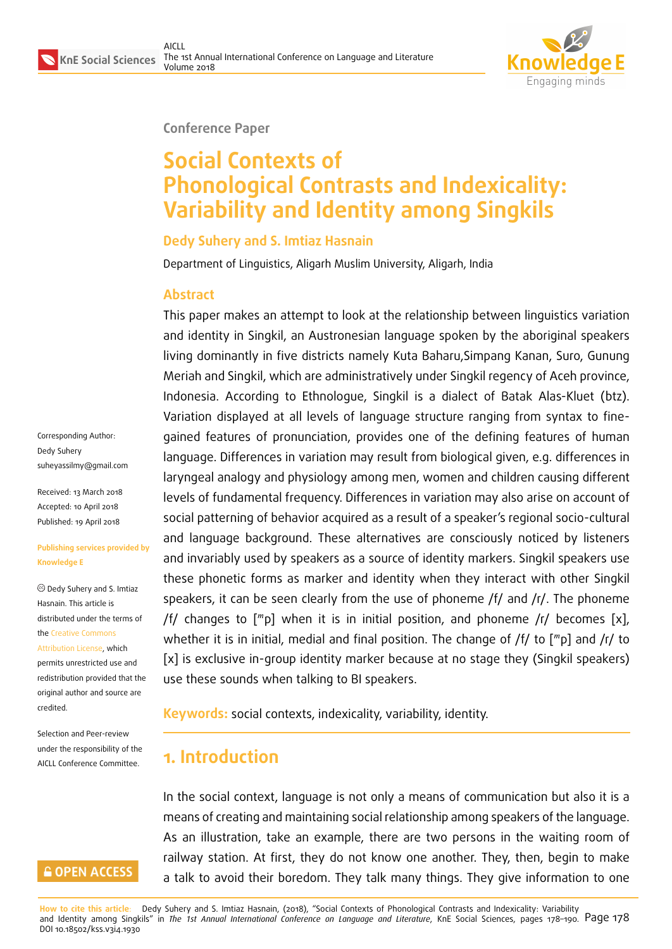

**Conference Paper**

# **Social Contexts of Phonological Contrasts and Indexicality: Variability and Identity among Singkils**

#### **Dedy Suhery and S. Imtiaz Hasnain**

Department of Linguistics, Aligarh Muslim University, Aligarh, India

#### **Abstract**

This paper makes an attempt to look at the relationship between linguistics variation and identity in Singkil, an Austronesian language spoken by the aboriginal speakers living dominantly in five districts namely Kuta Baharu,Simpang Kanan, Suro, Gunung Meriah and Singkil, which are administratively under Singkil regency of Aceh province, Indonesia. According to Ethnologue, Singkil is a dialect of Batak Alas-Kluet (btz). Variation displayed at all levels of language structure ranging from syntax to finegained features of pronunciation, provides one of the defining features of human language. Differences in variation may result from biological given, e.g. differences in laryngeal analogy and physiology among men, women and children causing different levels of fundamental frequency. Differences in variation may also arise on account of social patterning of behavior acquired as a result of a speaker's regional socio-cultural and language background. These alternatives are consciously noticed by listeners and invariably used by speakers as a source of identity markers. Singkil speakers use these phonetic forms as marker and identity when they interact with other Singkil speakers, it can be seen clearly from the use of phoneme  $/f/$  and  $/r/$ . The phoneme /f/ changes to  $\lceil m \rceil$  when it is in initial position, and phoneme /r/ becomes [x], whether it is in initial, medial and final position. The change of  $/f/$  to  $[mp]$  and  $/r/$  to [x] is exclusive in-group identity marker because at no stage they (Singkil speakers) use these sounds when talking to BI speakers.

**Keywords:** social contexts, indexicality, variability, identity.

# **1. Introduction**

In the social context, language is not only a means of communication but also it is a means of creating and maintaining social relationship among speakers of the language. As an illustration, take an example, there are two persons in the waiting room of railway station. At first, they do not know one another. They, then, begin to make a talk to avoid their boredom. They talk many things. They give information to one

**How to cite this article**: Dedy Suhery and S. Imtiaz Hasnain, (2018), "Social Contexts of Phonological Contrasts and Indexicality: Variability and Identity among Singkils" in *The 1st Annual International Conference on Language and Literature*, KnE Social Sciences, pages 178–190. Page 178 DOI 10.18502/kss.v3i4.1930

Corresponding Author: Dedy Suhery suheyassilmy@gmail.com

Received: 13 March 2018 Accepted: 10 April 2018 [Published: 19 April 2018](mailto:suheyassilmy@gmail.com)

#### **Publishing services provided by Knowledge E**

Dedy Suhery and S. Imtiaz Hasnain. This article is distributed under the terms of the Creative Commons Attribution License, which permits unrestricted use and redistribution provided that the ori[ginal author and sou](https://creativecommons.org/licenses/by/4.0/)rce are [credited.](https://creativecommons.org/licenses/by/4.0/)

Selection and Peer-review under the responsibility of the AICLL Conference Committee.

#### **GOPEN ACCESS**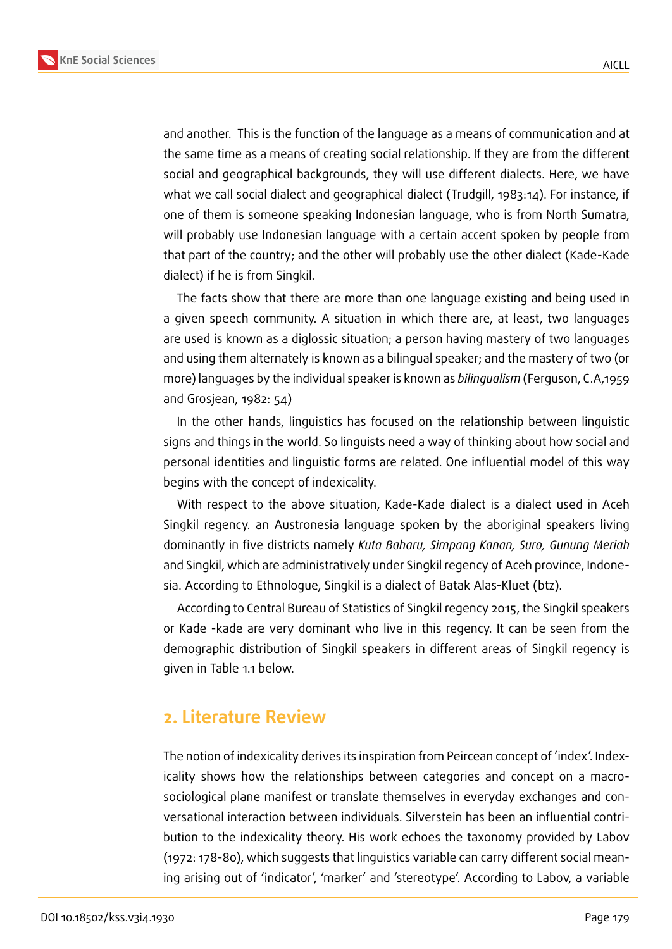



and another. This is the function of the language as a means of communication and at the same time as a means of creating social relationship. If they are from the different social and geographical backgrounds, they will use different dialects. Here, we have what we call social dialect and geographical dialect (Trudgill, 1983:14). For instance, if one of them is someone speaking Indonesian language, who is from North Sumatra, will probably use Indonesian language with a certain accent spoken by people from that part of the country; and the other will probably use the other dialect (Kade-Kade dialect) if he is from Singkil.

The facts show that there are more than one language existing and being used in a given speech community. A situation in which there are, at least, two languages are used is known as a diglossic situation; a person having mastery of two languages and using them alternately is known as a bilingual speaker; and the mastery of two (or more) languages by the individual speaker is known as *bilingualism* (Ferguson, C.A,1959 and Grosjean, 1982: 54)

In the other hands, linguistics has focused on the relationship between linguistic signs and things in the world. So linguists need a way of thinking about how social and personal identities and linguistic forms are related. One influential model of this way begins with the concept of indexicality.

With respect to the above situation, Kade-Kade dialect is a dialect used in Aceh Singkil regency. an Austronesia language spoken by the aboriginal speakers living dominantly in five districts namely *Kuta Baharu, Simpang Kanan, Suro, Gunung Meriah* and Singkil, which are administratively under Singkil regency of Aceh province, Indonesia. According to Ethnologue, Singkil is a dialect of Batak Alas-Kluet (btz).

According to Central Bureau of Statistics of Singkil regency 2015, the Singkil speakers or Kade -kade are very dominant who live in this regency. It can be seen from the demographic distribution of Singkil speakers in different areas of Singkil regency is given in Table 1.1 below.

### **2. Literature Review**

The notion of indexicality derives its inspiration from Peircean concept of 'index'. Indexicality shows how the relationships between categories and concept on a macrosociological plane manifest or translate themselves in everyday exchanges and conversational interaction between individuals. Silverstein has been an influential contribution to the indexicality theory. His work echoes the taxonomy provided by Labov (1972: 178-80), which suggests that linguistics variable can carry different social meaning arising out of 'indicator', 'marker' and 'stereotype'. According to Labov, a variable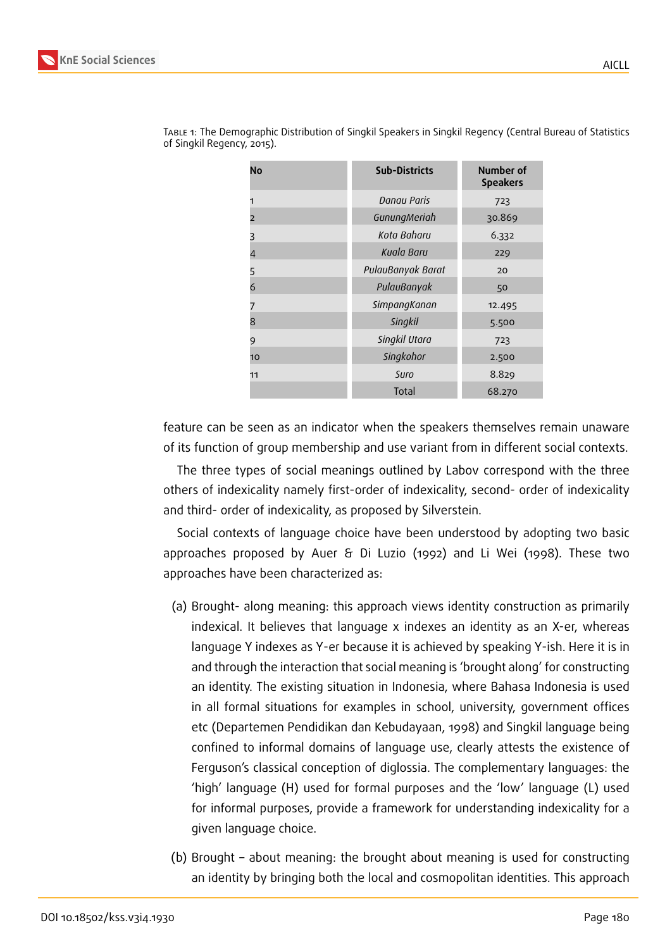| No | <b>Sub-Districts</b> | Number of<br><b>Speakers</b> |
|----|----------------------|------------------------------|
| 1  | Danau Paris          | 723                          |
| 2  | GunungMeriah         | 30.869                       |
| 3  | Kota Baharu          | 6.332                        |
| 4  | Kuala Baru           | 229                          |
| 5  | PulauBanyak Barat    | 20                           |
| 6  | PulauBanyak          | 50                           |
|    | SimpangKanan         | 12.495                       |
| 8  | Singkil              | 5.500                        |
| 9  | Singkil Utara        | 723                          |
| 10 | Singkohor            | 2.500                        |
| 11 | Suro                 | 8.829                        |
|    | Total                | 68.270                       |

Table 1: The Demographic Distribution of Singkil Speakers in Singkil Regency (Central Bureau of Statistics of Singkil Regency, 2015).

feature can be seen as an indicator when the speakers themselves remain unaware of its function of group membership and use variant from in different social contexts.

The three types of social meanings outlined by Labov correspond with the three others of indexicality namely first-order of indexicality, second- order of indexicality and third- order of indexicality, as proposed by Silverstein.

Social contexts of language choice have been understood by adopting two basic approaches proposed by Auer & Di Luzio (1992) and Li Wei (1998). These two approaches have been characterized as:

- (a) Brought- along meaning: this approach views identity construction as primarily indexical. It believes that language x indexes an identity as an X-er, whereas language Y indexes as Y-er because it is achieved by speaking Y-ish. Here it is in and through the interaction that social meaning is 'brought along' for constructing an identity. The existing situation in Indonesia, where Bahasa Indonesia is used in all formal situations for examples in school, university, government offices etc (Departemen Pendidikan dan Kebudayaan, 1998) and Singkil language being confined to informal domains of language use, clearly attests the existence of Ferguson's classical conception of diglossia. The complementary languages: the 'high' language (H) used for formal purposes and the 'low' language (L) used for informal purposes, provide a framework for understanding indexicality for a given language choice.
- (b) Brought about meaning: the brought about meaning is used for constructing an identity by bringing both the local and cosmopolitan identities. This approach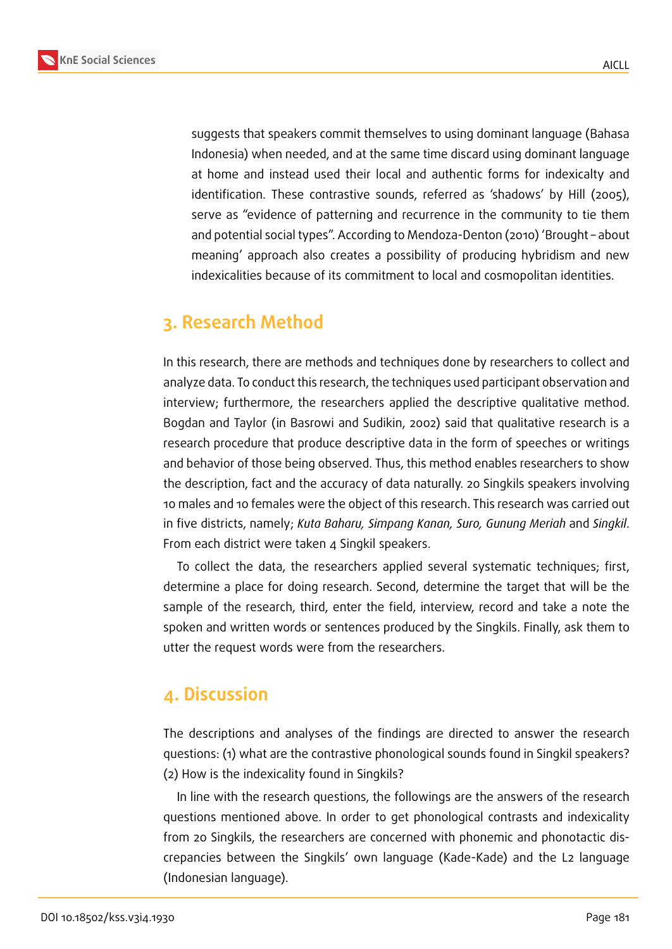

AICLL

suggests that speakers commit themselves to using dominant language (Bahasa Indonesia) when needed, and at the same time discard using dominant language at home and instead used their local and authentic forms for indexicalty and identification. These contrastive sounds, referred as 'shadows' by Hill (2005), serve as "evidence of patterning and recurrence in the community to tie them and potential social types". According to Mendoza-Denton (2010) 'Brought – about meaning' approach also creates a possibility of producing hybridism and new indexicalities because of its commitment to local and cosmopolitan identities.

# **3. Research Method**

In this research, there are methods and techniques done by researchers to collect and analyze data. To conduct this research, the techniques used participant observation and interview; furthermore, the researchers applied the descriptive qualitative method. Bogdan and Taylor (in Basrowi and Sudikin, 2002) said that qualitative research is a research procedure that produce descriptive data in the form of speeches or writings and behavior of those being observed. Thus, this method enables researchers to show the description, fact and the accuracy of data naturally. 20 Singkils speakers involving 10 males and 10 females were the object of this research. This research was carried out in five districts, namely; *Kuta Baharu, Simpang Kanan, Suro, Gunung Meriah* and *Singkil*. From each district were taken 4 Singkil speakers.

To collect the data, the researchers applied several systematic techniques; first, determine a place for doing research. Second, determine the target that will be the sample of the research, third, enter the field, interview, record and take a note the spoken and written words or sentences produced by the Singkils. Finally, ask them to utter the request words were from the researchers.

# **4. Discussion**

The descriptions and analyses of the findings are directed to answer the research questions: (1) what are the contrastive phonological sounds found in Singkil speakers? (2) How is the indexicality found in Singkils?

In line with the research questions, the followings are the answers of the research questions mentioned above. In order to get phonological contrasts and indexicality from 20 Singkils, the researchers are concerned with phonemic and phonotactic discrepancies between the Singkils' own language (Kade-Kade) and the L2 language (Indonesian language).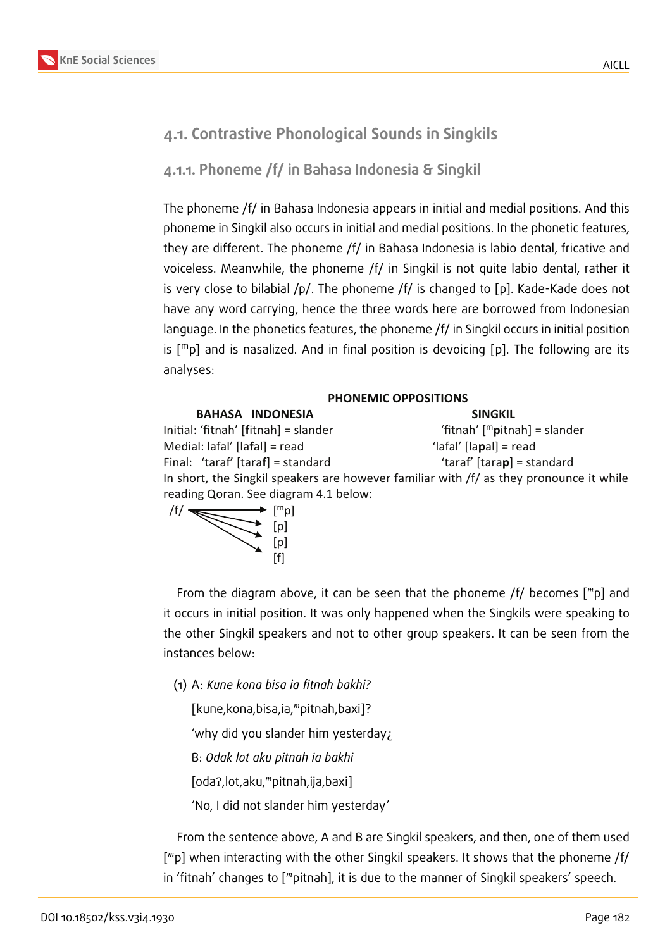# **4.1. Contrastive Phonological Sounds in Singkils**

**4.1.1. Phoneme /f/ in Bahasa Indonesia & Singkil**

The phoneme /f/ in Bahasa Indonesia appears in initial and medial positions. And this phoneme in Singkil also occurs in initial and medial positions. In the phonetic features, they are different. The phoneme /f/ in Bahasa Indonesia is labio dental, fricative and voiceless. Meanwhile, the phoneme /f/ in Singkil is not quite labio dental, rather it is very close to bilabial /p/. The phoneme /f/ is changed to [p]. Kade-Kade does not have any word carrying, hence the three words here are borrowed from Indonesian language. In the phonetics features, the phoneme /f/ in Singkil occurs in initial position is  $[m<sub>p</sub>]$  and is nasalized. And in final position is devoicing [p]. The following are its analyses:

#### **PHONEMIC OPPOSITIONS**

| <b>BAHASA INDONESIA</b>               | <b>SINGKIL</b>                                                                            |
|---------------------------------------|-------------------------------------------------------------------------------------------|
| Initial: 'fitnah' [fitnah] = slander  | 'fitnah' $[m$ pitnah] = slander                                                           |
| Medial: lafal' [lafal] = read         | 'lafal' [lapal] = read                                                                    |
| Final: 'taraf' [taraf] = standard     | 'taraf' [tarap] = standard                                                                |
|                                       | In short, the Singkil speakers are however familiar with $/f/$ as they pronounce it while |
| reading Qoran. See diagram 4.1 below: |                                                                                           |



From the diagram above, it can be seen that the phoneme /f/ becomes  $[\text{m}p]$  and it occurs in initial position. It was only happened when the Singkils were speaking to the other Singkil speakers and not to other group speakers. It can be seen from the instances below:

(1) A: *Kune kona bisa ia fitnah bakhi?*

[kune, kona, bisa, ia, mpitnah, baxi]?

'why did you slander him yesterday¿

B: *Odak lot aku pitnah ia bakhi*

[oda?, lot, aku, "pitnah, ija, baxi]

'No, I did not slander him yesterday'

From the sentence above, A and B are Singkil speakers, and then, one of them used ["p] when interacting with the other Singkil speakers. It shows that the phoneme /f/ in 'fitnah' changes to [""pitnah], it is due to the manner of Singkil speakers' speech.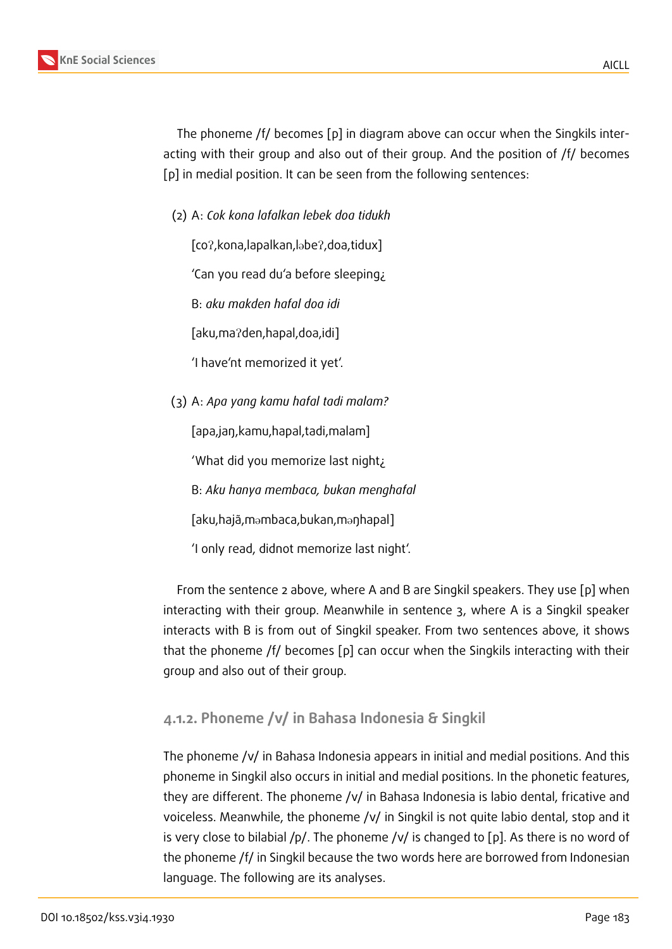The phoneme /f/ becomes [p] in diagram above can occur when the Singkils interacting with their group and also out of their group. And the position of /f/ becomes [p] in medial position. It can be seen from the following sentences:

(2) A: *Cok kona lafalkan lebek doa tidukh*

[co?, kona, lapalkan, labe?, doa, tidux]

'Can you read du'a before sleeping¿

B: *aku makden hafal doa idi*

[aku,ma?den,hapal,doa,idi]

'I have'nt memorized it yet'.

(3) A: *Apa yang kamu hafal tadi malam?*

[apa,jaŋ,kamu,hapal,tadi,malam]

'What did you memorize last night¿

B: *Aku hanya membaca, bukan menghafal*

[aku,hajã,m@mbaca,bukan,m@ŋhapal]

'I only read, didnot memorize last night'.

From the sentence 2 above, where A and B are Singkil speakers. They use [p] when interacting with their group. Meanwhile in sentence 3, where A is a Singkil speaker interacts with B is from out of Singkil speaker. From two sentences above, it shows that the phoneme /f/ becomes [p] can occur when the Singkils interacting with their group and also out of their group.

### **4.1.2. Phoneme /v/ in Bahasa Indonesia & Singkil**

The phoneme /v/ in Bahasa Indonesia appears in initial and medial positions. And this phoneme in Singkil also occurs in initial and medial positions. In the phonetic features, they are different. The phoneme /v/ in Bahasa Indonesia is labio dental, fricative and voiceless. Meanwhile, the phoneme /v/ in Singkil is not quite labio dental, stop and it is very close to bilabial  $/p/$ . The phoneme  $/v/$  is changed to [p]. As there is no word of the phoneme /f/ in Singkil because the two words here are borrowed from Indonesian language. The following are its analyses.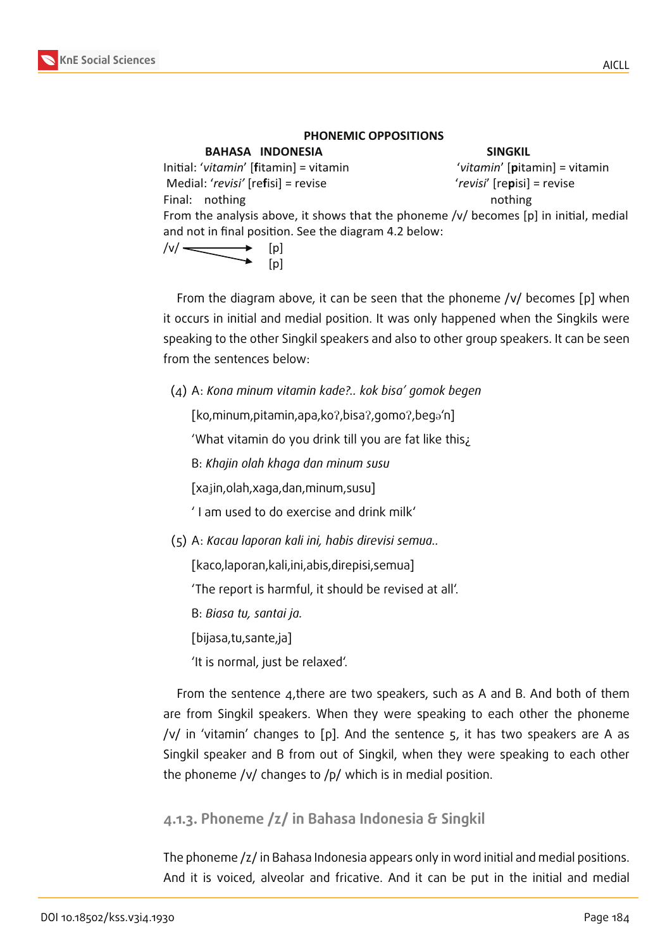#### **PHONEMIC OPPOSITIONS**

| <b>BAHASA INDONESIA</b>                                                               | <b>SINGKIL</b>                |
|---------------------------------------------------------------------------------------|-------------------------------|
| Initial: 'vitamin' [fitamin] = vitamin                                                | 'vitamin' [pitamin] = vitamin |
| Medial: 'revisi' [refisi] = revise                                                    | 'revisi' [repisi] = revise    |
| Final: nothing                                                                        | nothing                       |
| From the analysis above, it shows that the phoneme /v/ becomes [p] in initial, medial |                               |
| and not in final position. See the diagram 4.2 below:                                 |                               |
| $\overbrace{\qquad \qquad }^{(v)}$<br> p                                              |                               |
| .pJ                                                                                   |                               |

From the diagram above, it can be seen that the phoneme /v/ becomes [p] when it occurs in initial and medial position. It was only happened when the Singkils were speaking to the other Singkil speakers and also to other group speakers. It can be seen from the sentences below:

(4) A: *Kona minum vitamin kade?.. kok bisa' gomok begen*

[ko,minum,pitamin,apa,ko?,bisa?,gomo?,bega'n]

'What vitamin do you drink till you are fat like this¿

B: *Khajin olah khaga dan minum susu*

[xajin,olah,xaga,dan,minum,susu]

' I am used to do exercise and drink milk'

(5) A: *Kacau laporan kali ini, habis direvisi semua..*

[kaco,laporan,kali,ini,abis,direpisi,semua]

'The report is harmful, it should be revised at all'.

B: *Biasa tu, santai ja.*

[bijasa,tu,sante,ja]

'It is normal, just be relaxed'.

From the sentence 4,there are two speakers, such as A and B. And both of them are from Singkil speakers. When they were speaking to each other the phoneme /v/ in 'vitamin' changes to [p]. And the sentence 5, it has two speakers are A as Singkil speaker and B from out of Singkil, when they were speaking to each other the phoneme /v/ changes to /p/ which is in medial position.

### **4.1.3. Phoneme /z/ in Bahasa Indonesia & Singkil**

The phoneme /z/ in Bahasa Indonesia appears only in word initial and medial positions. And it is voiced, alveolar and fricative. And it can be put in the initial and medial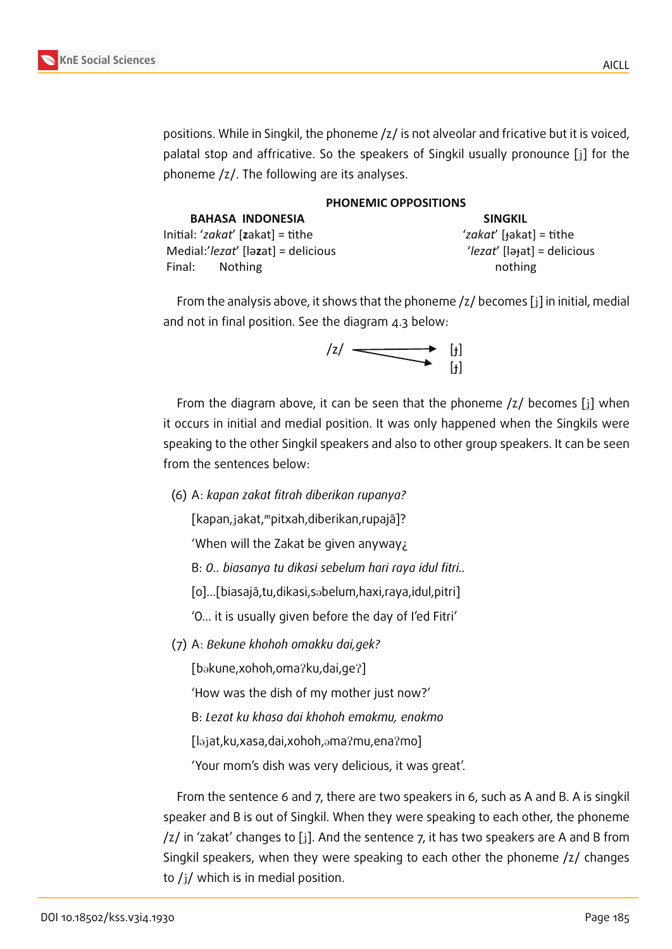

positions. While in Singkil, the phoneme /z/ is not alveolar and fricative but it is voiced, palatal stop and affricative. So the speakers of Singkil usually pronounce  $[i]$  for the phoneme /z/. The following are its analyses.

| PHONEMIC OPPOSITIONS                                      |                                     |  |
|-----------------------------------------------------------|-------------------------------------|--|
| <b>BAHASA INDONESIA</b>                                   | <b>SINGKIL</b>                      |  |
| Initial: 'zakat' [zakat] = tithe                          | 'zakat' [ $\text{rk}$ akat] = tithe |  |
| Medial: $\ell$ <i>lezat'</i> [lə <b>z</b> at] = delicious | 'lezat' [lətat] = delicious         |  |
| Final: Nothing                                            | nothing                             |  |

From the analysis above, it shows that the phoneme  $\frac{z}{1}$  becomes  $\left[\frac{z}{2}\right]$  in initial, medial and not in final position. See the diagram 4.3 below:



From the diagram above, it can be seen that the phoneme  $\mathfrak{z}/\mathfrak{b}$  becomes [i] when it occurs in initial and medial position. It was only happened when the Singkils were speaking to the other Singkil speakers and also to other group speakers. It can be seen from the sentences below:

(6) A: *kapan zakat fitrah diberikan rupanya?*

[kapan,jakat, "pitxah, diberikan, rupajã]?

'When will the Zakat be given anyway¿

B: *O.. biasanya tu dikasi sebelum hari raya idul fitri..*

[o]…[biasajã,tu,dikasi,s@belum,haxi,raya,idul,pitri]

'O… it is usually given before the day of I'ed Fitri'

(7) A: *Bekune khohoh omakku dai,gek?*

[bakune,xohoh,oma?ku,dai,ge?]

'How was the dish of my mother just now?'

B: *Lezat ku khasa dai khohoh emakmu, enakmo*

[l@Jat,ku,xasa,dai,xohoh,@maPmu,enaPmo]

'Your mom's dish was very delicious, it was great'.

From the sentence 6 and 7, there are two speakers in 6, such as A and B. A is singkil speaker and B is out of Singkil. When they were speaking to each other, the phoneme  $\frac{1}{2}$  in 'zakat' changes to [i]. And the sentence 7, it has two speakers are A and B from Singkil speakers, when they were speaking to each other the phoneme /z/ changes to  $/j/$  which is in medial position.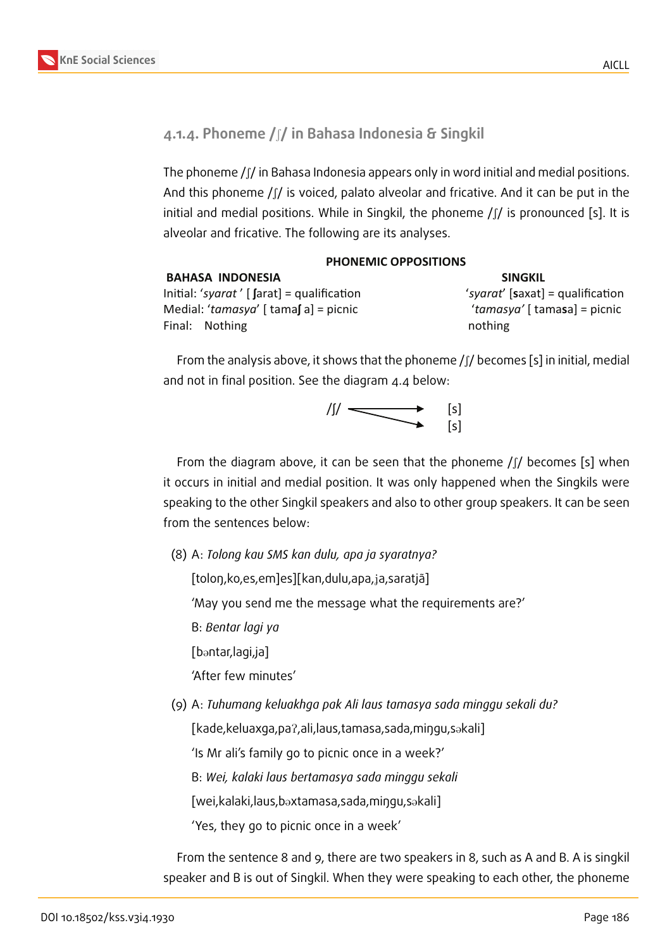

### **4.1.4. Phoneme /**S**/ in Bahasa Indonesia & Singkil**

The phoneme  $\int \int f$  in Bahasa Indonesia appears only in word initial and medial positions. And this phoneme  $/$   $/$  is voiced, palato alveolar and fricative. And it can be put in the initial and medial positions. While in Singkil, the phoneme  $\int \int f$  is pronounced [s]. It is alveolar and fricative. The following are its analyses.

| <b>PHONEMIC OPPOSITIONS</b>                      |                                  |  |
|--------------------------------------------------|----------------------------------|--|
| <b>BAHASA INDONESIA</b>                          | <b>SINGKIL</b>                   |  |
| Initial: 'syarat' [ $\int$ arat] = qualification | 'syarat' [saxat] = qualification |  |
| Medial: ' $t$ amasya' [ tamas a] = picnic        | 'tamasya' [ tamasa] = picnic     |  |
| Final: Nothing                                   | nothing                          |  |

From the analysis above, it shows that the phoneme  $\int \int f$  becomes [s] in initial, medial and not in final position. See the diagram 4.4 below:



From the diagram above, it can be seen that the phoneme  $\int \int f$  becomes [s] when it occurs in initial and medial position. It was only happened when the Singkils were speaking to the other Singkil speakers and also to other group speakers. It can be seen from the sentences below:

(8) A: *Tolong kau SMS kan dulu, apa ja syaratnya?*

[toloŋ,ko,es,em]es][kan,dulu,apa,Ja,saratjã]

'May you send me the message what the requirements are?'

B: *Bentar lagi ya*

[bantar,lagi,ja]

'After few minutes'

(9) A: *Tuhumang keluakhga pak Ali laus tamasya sada minggu sekali du?*

[kade,keluaxga,pa?,ali,laus,tamasa,sada,miŋgu,sakali]

'Is Mr ali's family go to picnic once in a week?'

B: *Wei, kalaki laus bertamasya sada minggu sekali*

[wei,kalaki,laus,b@xtamasa,sada,miŋgu,s@kali]

'Yes, they go to picnic once in a week'

From the sentence 8 and 9, there are two speakers in 8, such as A and B. A is singkil speaker and B is out of Singkil. When they were speaking to each other, the phoneme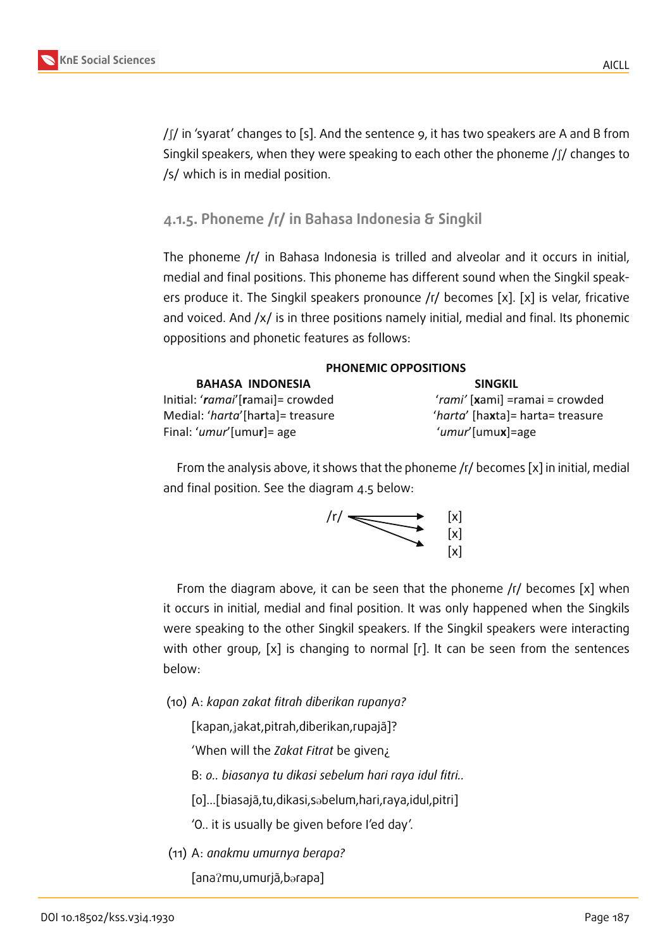

 $/$   $\beta$  in 'syarat' changes to [s]. And the sentence 9, it has two speakers are A and B from Singkil speakers, when they were speaking to each other the phoneme  $\int \int$  changes to /s/ which is in medial position.

### **4.1.5. Phoneme /r/ in Bahasa Indonesia & Singkil**

The phoneme /r/ in Bahasa Indonesia is trilled and alveolar and it occurs in initial, medial and final positions. This phoneme has different sound when the Singkil speakers produce it. The Singkil speakers pronounce  $\sqrt{r}$  becomes [x]. [x] is velar, fricative and voiced. And  $/x/$  is in three positions namely initial, medial and final. Its phonemic oppositions and phonetic features as follows:

| PHONEMIC OPPOSITIONS             |                                    |  |
|----------------------------------|------------------------------------|--|
| <b>BAHASA INDONESIA</b>          | <b>SINGKIL</b>                     |  |
| Initial: 'ramai'[ramai]= crowded | 'rami' [xami] =ramai = crowded     |  |
| Medial: 'harta'[harta]= treasure | 'harta' [haxta] = harta = treasure |  |
| Final: 'umur' [umur] = age       | 'umur'[umux]=age                   |  |

From the analysis above, it shows that the phoneme /r/ becomes [x] in initial, medial and final position. See the diagram 4.5 below:



From the diagram above, it can be seen that the phoneme /r/ becomes [x] when it occurs in initial, medial and final position. It was only happened when the Singkils were speaking to the other Singkil speakers. If the Singkil speakers were interacting with other group, [x] is changing to normal [r]. It can be seen from the sentences below:

(10) A: *kapan zakat fitrah diberikan rupanya?*

[kapan,Jakat,pitrah,diberikan,rupajã]?

'When will the *Zakat Fitrat* be given¿

B: *o.. biasanya tu dikasi sebelum hari raya idul fitri..*

[o]…[biasajã,tu,dikasi,s@belum,hari,raya,idul,pitri]

'O.. it is usually be given before I'ed day'.

(11) A: *anakmu umurnya berapa?*

[anaPmu,umurjã,b@rapa]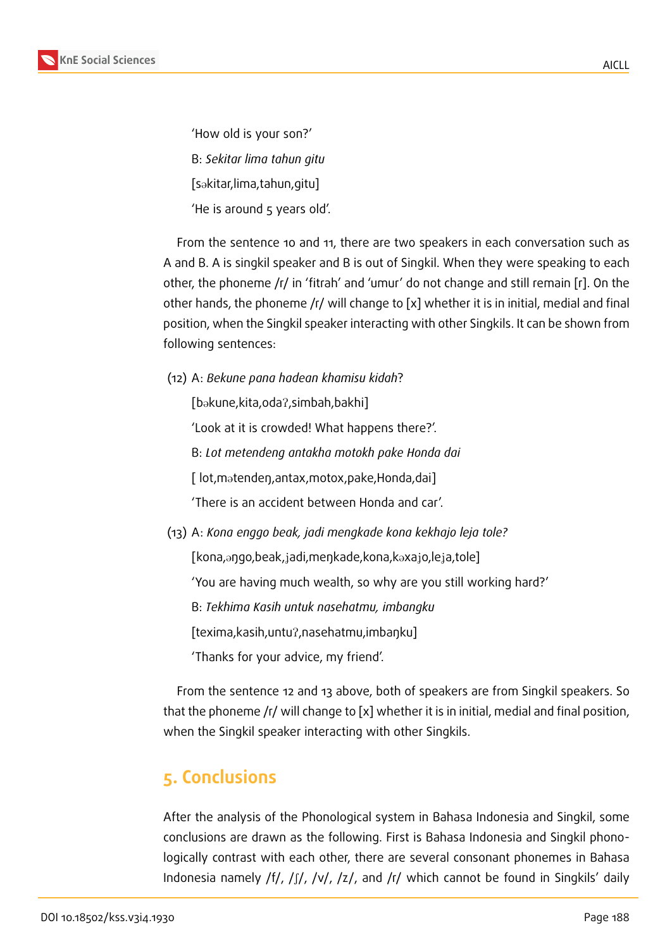'How old is your son?' B: *Sekitar lima tahun gitu* [sakitar,lima,tahun,gitu] 'He is around 5 years old'.

From the sentence 10 and 11, there are two speakers in each conversation such as A and B. A is singkil speaker and B is out of Singkil. When they were speaking to each other, the phoneme /r/ in 'fitrah' and 'umur' do not change and still remain [r]. On the other hands, the phoneme /r/ will change to [x] whether it is in initial, medial and final position, when the Singkil speaker interacting with other Singkils. It can be shown from following sentences:

(12) A: *Bekune pana hadean khamisu kidah*?

[bakune,kita,oda?,simbah,bakhi]

'Look at it is crowded! What happens there?'.

B: *Lot metendeng antakha motokh pake Honda dai*

[ lot,m@tendeŋ,antax,motox,pake,Honda,dai]

'There is an accident between Honda and car'.

(13) A: *Kona enggo beak, jadi mengkade kona kekhajo leja tole?*

[kona,aŋgo,beak,jadi,meŋkade,kona,kaxajo,leja,tole]

'You are having much wealth, so why are you still working hard?'

B: *Tekhima Kasih untuk nasehatmu, imbangku*

[texima,kasih,untuP,nasehatmu,imbaŋku]

'Thanks for your advice, my friend'.

From the sentence 12 and 13 above, both of speakers are from Singkil speakers. So that the phoneme /r/ will change to [x] whether it is in initial, medial and final position, when the Singkil speaker interacting with other Singkils.

# **5. Conclusions**

After the analysis of the Phonological system in Bahasa Indonesia and Singkil, some conclusions are drawn as the following. First is Bahasa Indonesia and Singkil phonologically contrast with each other, there are several consonant phonemes in Bahasa Indonesia namely /f/, /ʃ/, /v/, /z/, and /r/ which cannot be found in Singkils' daily

AICLL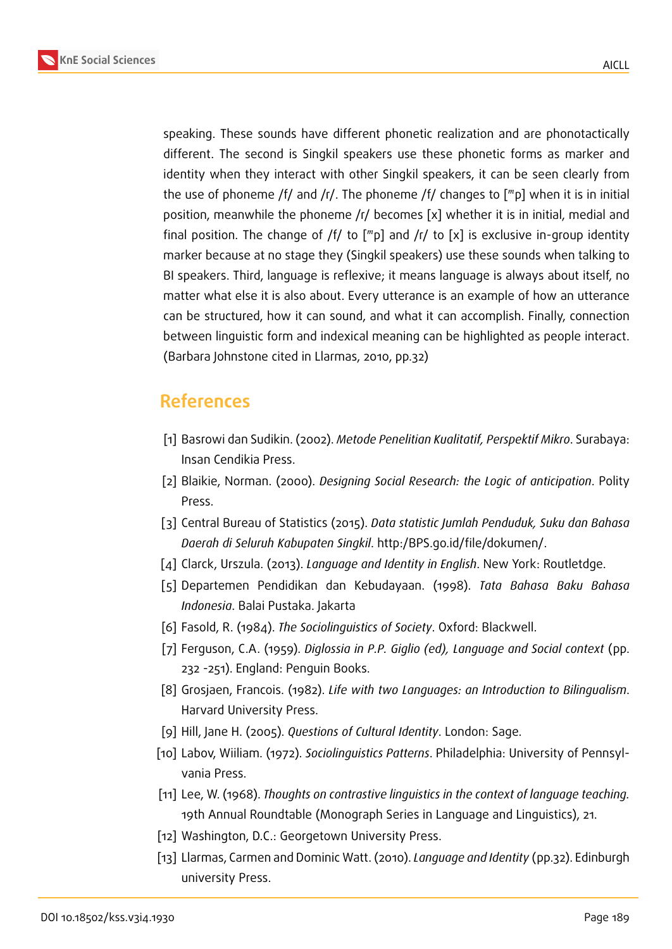



speaking. These sounds have different phonetic realization and are phonotactically different. The second is Singkil speakers use these phonetic forms as marker and identity when they interact with other Singkil speakers, it can be seen clearly from the use of phoneme /f/ and /r/. The phoneme /f/ changes to  $\lceil m \rceil$  when it is in initial position, meanwhile the phoneme /r/ becomes [x] whether it is in initial, medial and final position. The change of /f/ to  $[mp]$  and /r/ to [x] is exclusive in-group identity marker because at no stage they (Singkil speakers) use these sounds when talking to BI speakers. Third, language is reflexive; it means language is always about itself, no matter what else it is also about. Every utterance is an example of how an utterance can be structured, how it can sound, and what it can accomplish. Finally, connection between linguistic form and indexical meaning can be highlighted as people interact. (Barbara Johnstone cited in Llarmas, 2010, pp.32)

# **References**

- [1] Basrowi dan Sudikin. (2002). *Metode Penelitian Kualitatif, Perspektif Mikro*. Surabaya: Insan Cendikia Press.
- [2] Blaikie, Norman. (2000). *Designing Social Research: the Logic of anticipation*. Polity Press.
- [3] Central Bureau of Statistics (2015). *Data statistic Jumlah Penduduk, Suku dan Bahasa Daerah di Seluruh Kabupaten Singkil*. http:/BPS.go.id/file/dokumen/.
- [4] Clarck, Urszula. (2013). *Language and Identity in English*. New York: Routletdge.
- [5] Departemen Pendidikan dan Kebudayaan. (1998). *Tata Bahasa Baku Bahasa Indonesia*. Balai Pustaka. Jakarta
- [6] Fasold, R. (1984). *The Sociolinguistics of Society*. Oxford: Blackwell.
- [7] Ferguson, C.A. (1959). *Diglossia in P.P. Giglio (ed), Language and Social context* (pp. 232 -251). England: Penguin Books.
- [8] Grosjaen, Francois. (1982). *Life with two Languages: an Introduction to Bilingualism*. Harvard University Press.
- [9] Hill, Jane H. (2005). *Questions of Cultural Identity*. London: Sage.
- [10] Labov, Wiiliam. (1972). *Sociolinguistics Patterns*. Philadelphia: University of Pennsylvania Press.
- [11] Lee, W. (1968). *Thoughts on contrastive linguistics in the context of language teaching.* 19th Annual Roundtable (Monograph Series in Language and Linguistics), 21.
- [12] Washington, D.C.: Georgetown University Press.
- [13] Llarmas, Carmen and Dominic Watt. (2010). *Language and Identity* (pp.32). Edinburgh university Press.